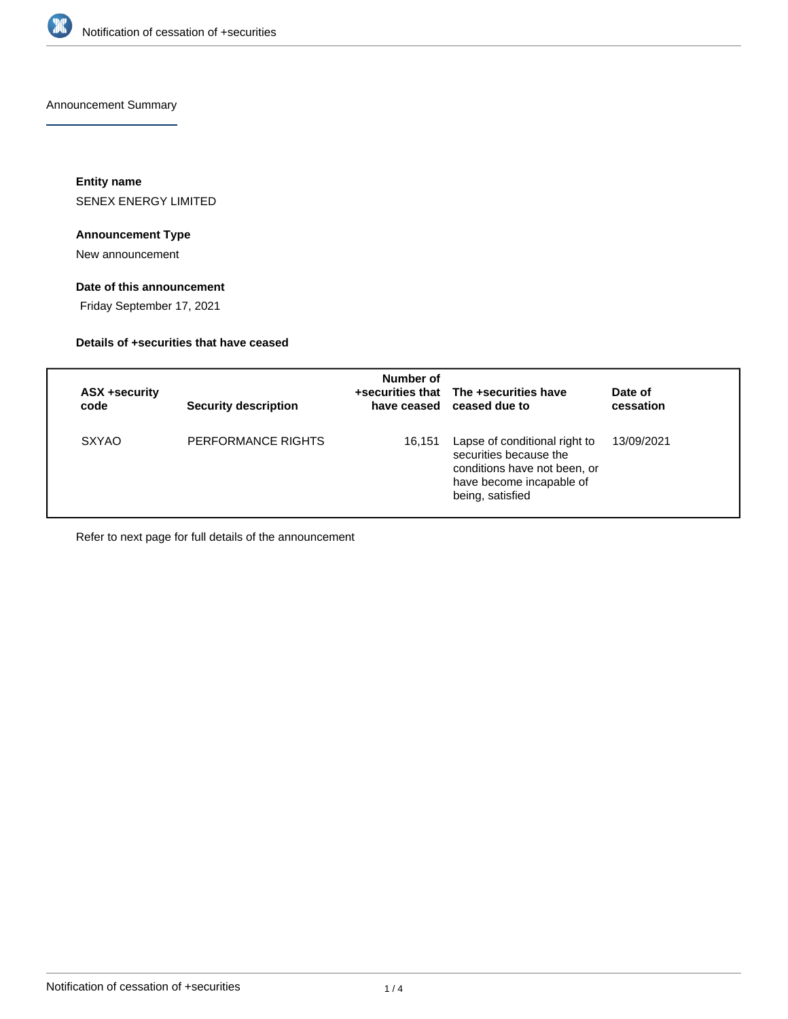

Announcement Summary

**Entity name** SENEX ENERGY LIMITED

## **Announcement Type**

New announcement

# **Date of this announcement**

Friday September 17, 2021

## **Details of +securities that have ceased**

| ASX +security<br>code | <b>Security description</b> | Number of | +securities that The +securities have<br>have ceased ceased due to                                                                      | Date of<br>cessation |
|-----------------------|-----------------------------|-----------|-----------------------------------------------------------------------------------------------------------------------------------------|----------------------|
| <b>SXYAO</b>          | PERFORMANCE RIGHTS          | 16,151    | Lapse of conditional right to<br>securities because the<br>conditions have not been, or<br>have become incapable of<br>being, satisfied | 13/09/2021           |

Refer to next page for full details of the announcement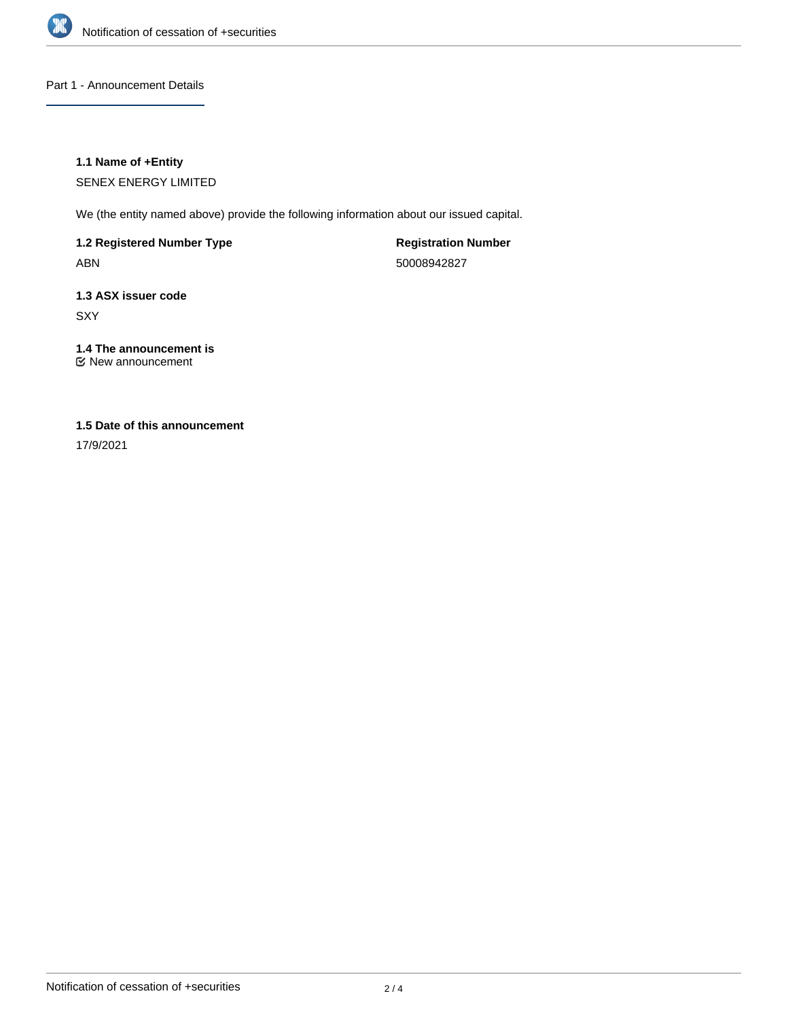

Part 1 - Announcement Details

### **1.1 Name of +Entity**

SENEX ENERGY LIMITED

We (the entity named above) provide the following information about our issued capital.

**1.2 Registered Number Type** ABN

**Registration Number** 50008942827

**1.3 ASX issuer code SXY** 

**1.4 The announcement is** New announcement

## **1.5 Date of this announcement**

17/9/2021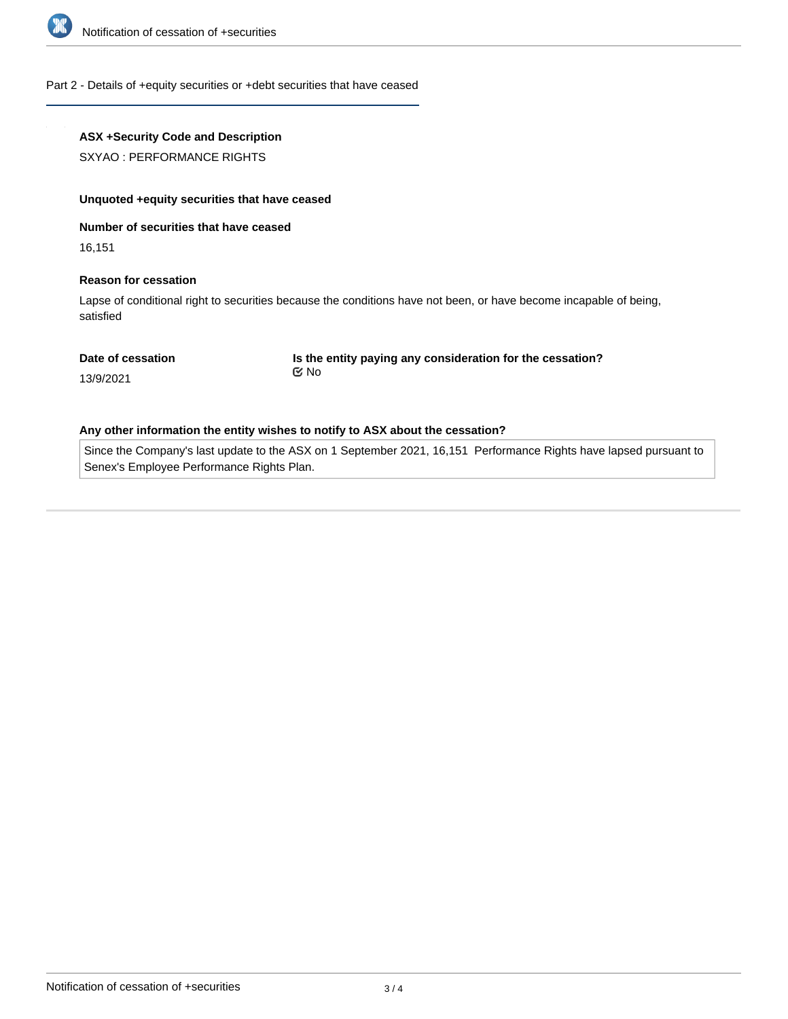

#### Part 2 - Details of +equity securities or +debt securities that have ceased

## **ASX +Security Code and Description**

SXYAO : PERFORMANCE RIGHTS

#### **Unquoted +equity securities that have ceased**

**Number of securities that have ceased**

16,151

#### **Reason for cessation**

Lapse of conditional right to securities because the conditions have not been, or have become incapable of being, satisfied

#### **Date of cessation**

**Is the entity paying any consideration for the cessation?** No

13/9/2021

#### **Any other information the entity wishes to notify to ASX about the cessation?**

Since the Company's last update to the ASX on 1 September 2021, 16,151 Performance Rights have lapsed pursuant to Senex's Employee Performance Rights Plan.